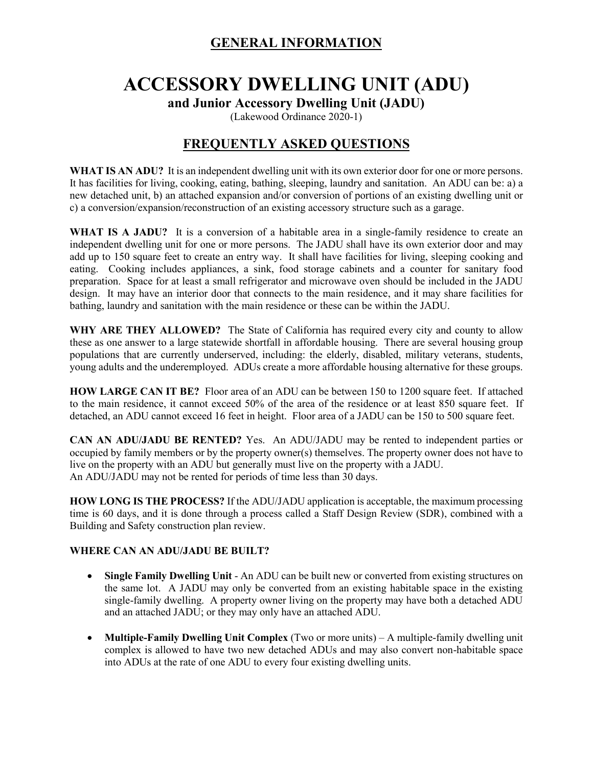## **GENERAL INFORMATION**

# **ACCESSORY DWELLING UNIT (ADU) and Junior Accessory Dwelling Unit (JADU)**

(Lakewood Ordinance 2020-1)

# **FREQUENTLY ASKED QUESTIONS**

**WHAT IS AN ADU?** It is an independent dwelling unit with its own exterior door for one or more persons. It has facilities for living, cooking, eating, bathing, sleeping, laundry and sanitation. An ADU can be: a) a new detached unit, b) an attached expansion and/or conversion of portions of an existing dwelling unit or c) a conversion/expansion/reconstruction of an existing accessory structure such as a garage.

**WHAT IS A JADU?** It is a conversion of a habitable area in a single-family residence to create an independent dwelling unit for one or more persons. The JADU shall have its own exterior door and may add up to 150 square feet to create an entry way. It shall have facilities for living, sleeping cooking and eating. Cooking includes appliances, a sink, food storage cabinets and a counter for sanitary food preparation. Space for at least a small refrigerator and microwave oven should be included in the JADU design. It may have an interior door that connects to the main residence, and it may share facilities for bathing, laundry and sanitation with the main residence or these can be within the JADU.

**WHY ARE THEY ALLOWED?** The State of California has required every city and county to allow these as one answer to a large statewide shortfall in affordable housing. There are several housing group populations that are currently underserved, including: the elderly, disabled, military veterans, students, young adults and the underemployed. ADUs create a more affordable housing alternative for these groups.

**HOW LARGE CAN IT BE?** Floor area of an ADU can be between 150 to 1200 square feet. If attached to the main residence, it cannot exceed 50% of the area of the residence or at least 850 square feet. If detached, an ADU cannot exceed 16 feet in height. Floor area of a JADU can be 150 to 500 square feet.

**CAN AN ADU/JADU BE RENTED?** Yes. An ADU/JADU may be rented to independent parties or occupied by family members or by the property owner(s) themselves. The property owner does not have to live on the property with an ADU but generally must live on the property with a JADU. An ADU/JADU may not be rented for periods of time less than 30 days.

**HOW LONG IS THE PROCESS?** If the ADU/JADU application is acceptable, the maximum processing time is 60 days, and it is done through a process called a Staff Design Review (SDR), combined with a Building and Safety construction plan review.

### **WHERE CAN AN ADU/JADU BE BUILT?**

- **Single Family Dwelling Unit** An ADU can be built new or converted from existing structures on the same lot. A JADU may only be converted from an existing habitable space in the existing single-family dwelling. A property owner living on the property may have both a detached ADU and an attached JADU; or they may only have an attached ADU.
- **Multiple-Family Dwelling Unit Complex** (Two or more units) A multiple-family dwelling unit complex is allowed to have two new detached ADUs and may also convert non-habitable space into ADUs at the rate of one ADU to every four existing dwelling units.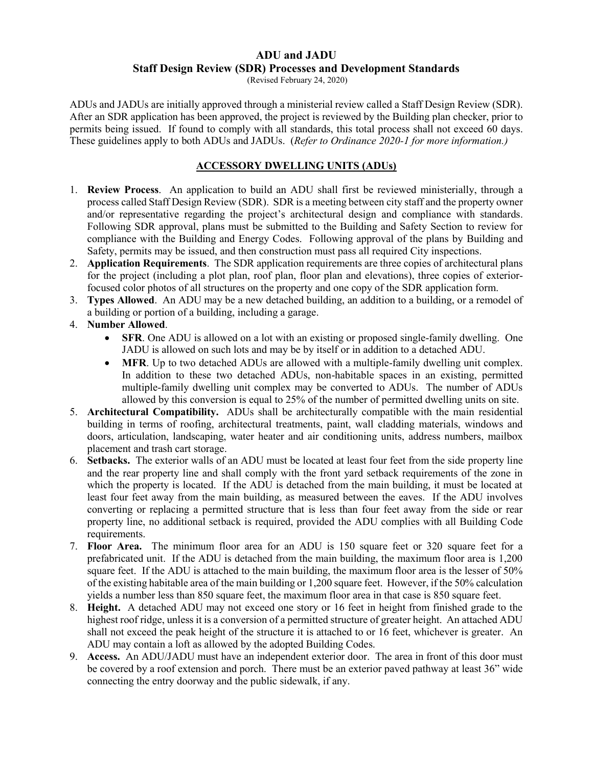### **ADU and JADU Staff Design Review (SDR) Processes and Development Standards**

(Revised February 24, 2020)

ADUs and JADUs are initially approved through a ministerial review called a Staff Design Review (SDR). After an SDR application has been approved, the project is reviewed by the Building plan checker, prior to permits being issued. If found to comply with all standards, this total process shall not exceed 60 days. These guidelines apply to both ADUs and JADUs. (*Refer to Ordinance 2020-1 for more information.)*

### **ACCESSORY DWELLING UNITS (ADUs)**

- 1. **Review Process**. An application to build an ADU shall first be reviewed ministerially, through a process called Staff Design Review (SDR). SDR is a meeting between city staff and the property owner and/or representative regarding the project's architectural design and compliance with standards. Following SDR approval, plans must be submitted to the Building and Safety Section to review for compliance with the Building and Energy Codes. Following approval of the plans by Building and Safety, permits may be issued, and then construction must pass all required City inspections.
- 2. **Application Requirements**. The SDR application requirements are three copies of architectural plans for the project (including a plot plan, roof plan, floor plan and elevations), three copies of exteriorfocused color photos of all structures on the property and one copy of the SDR application form.
- 3. **Types Allowed**. An ADU may be a new detached building, an addition to a building, or a remodel of a building or portion of a building, including a garage.
- 4. **Number Allowed**.
	- **SFR**. One ADU is allowed on a lot with an existing or proposed single-family dwelling. One JADU is allowed on such lots and may be by itself or in addition to a detached ADU.
	- **MFR.** Up to two detached ADUs are allowed with a multiple-family dwelling unit complex. In addition to these two detached ADUs, non-habitable spaces in an existing, permitted multiple-family dwelling unit complex may be converted to ADUs. The number of ADUs allowed by this conversion is equal to 25% of the number of permitted dwelling units on site.
- 5. **Architectural Compatibility.** ADUs shall be architecturally compatible with the main residential building in terms of roofing, architectural treatments, paint, wall cladding materials, windows and doors, articulation, landscaping, water heater and air conditioning units, address numbers, mailbox placement and trash cart storage.
- 6. **Setbacks.** The exterior walls of an ADU must be located at least four feet from the side property line and the rear property line and shall comply with the front yard setback requirements of the zone in which the property is located. If the ADU is detached from the main building, it must be located at least four feet away from the main building, as measured between the eaves. If the ADU involves converting or replacing a permitted structure that is less than four feet away from the side or rear property line, no additional setback is required, provided the ADU complies with all Building Code requirements.
- 7. **Floor Area.** The minimum floor area for an ADU is 150 square feet or 320 square feet for a prefabricated unit. If the ADU is detached from the main building, the maximum floor area is 1,200 square feet. If the ADU is attached to the main building, the maximum floor area is the lesser of 50% of the existing habitable area of the main building or 1,200 square feet. However, if the 50% calculation yields a number less than 850 square feet, the maximum floor area in that case is 850 square feet.
- 8. **Height.** A detached ADU may not exceed one story or 16 feet in height from finished grade to the highest roof ridge, unless it is a conversion of a permitted structure of greater height. An attached ADU shall not exceed the peak height of the structure it is attached to or 16 feet, whichever is greater. An ADU may contain a loft as allowed by the adopted Building Codes.
- 9. **Access.** An ADU/JADU must have an independent exterior door. The area in front of this door must be covered by a roof extension and porch. There must be an exterior paved pathway at least 36" wide connecting the entry doorway and the public sidewalk, if any.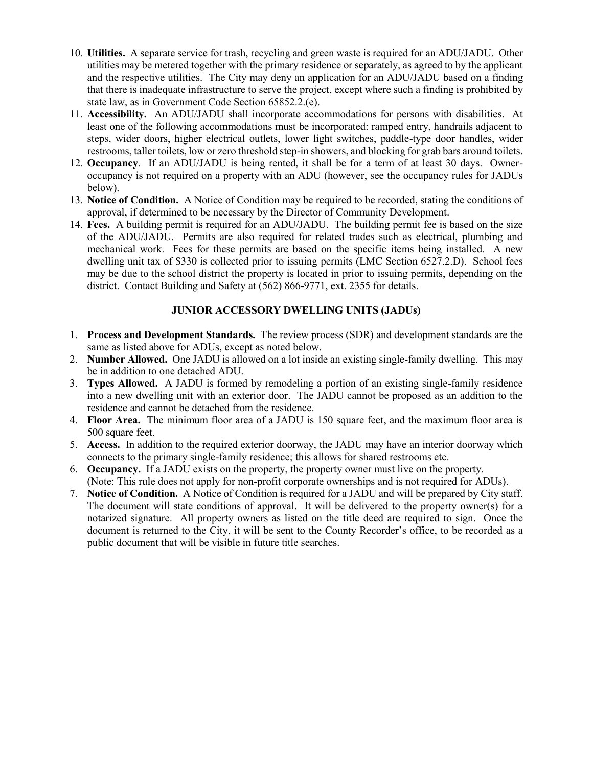- 10. **Utilities.** A separate service for trash, recycling and green waste is required for an ADU/JADU. Other utilities may be metered together with the primary residence or separately, as agreed to by the applicant and the respective utilities. The City may deny an application for an ADU/JADU based on a finding that there is inadequate infrastructure to serve the project, except where such a finding is prohibited by state law, as in Government Code Section 65852.2.(e).
- 11. **Accessibility.** An ADU/JADU shall incorporate accommodations for persons with disabilities. At least one of the following accommodations must be incorporated: ramped entry, handrails adjacent to steps, wider doors, higher electrical outlets, lower light switches, paddle-type door handles, wider restrooms, taller toilets, low or zero threshold step-in showers, and blocking for grab bars around toilets.
- 12. **Occupancy**. If an ADU/JADU is being rented, it shall be for a term of at least 30 days. Owneroccupancy is not required on a property with an ADU (however, see the occupancy rules for JADUs below).
- 13. **Notice of Condition.** A Notice of Condition may be required to be recorded, stating the conditions of approval, if determined to be necessary by the Director of Community Development.
- 14. **Fees.** A building permit is required for an ADU/JADU. The building permit fee is based on the size of the ADU/JADU. Permits are also required for related trades such as electrical, plumbing and mechanical work. Fees for these permits are based on the specific items being installed. A new dwelling unit tax of \$330 is collected prior to issuing permits (LMC Section 6527.2.D). School fees may be due to the school district the property is located in prior to issuing permits, depending on the district. Contact Building and Safety at (562) 866-9771, ext. 2355 for details.

### **JUNIOR ACCESSORY DWELLING UNITS (JADUs)**

- 1. **Process and Development Standards.** The review process (SDR) and development standards are the same as listed above for ADUs, except as noted below.
- 2. **Number Allowed.** One JADU is allowed on a lot inside an existing single-family dwelling. This may be in addition to one detached ADU.
- 3. **Types Allowed.** A JADU is formed by remodeling a portion of an existing single-family residence into a new dwelling unit with an exterior door. The JADU cannot be proposed as an addition to the residence and cannot be detached from the residence.
- 4. **Floor Area.** The minimum floor area of a JADU is 150 square feet, and the maximum floor area is 500 square feet.
- 5. **Access.** In addition to the required exterior doorway, the JADU may have an interior doorway which connects to the primary single-family residence; this allows for shared restrooms etc.
- 6. **Occupancy.** If a JADU exists on the property, the property owner must live on the property. (Note: This rule does not apply for non-profit corporate ownerships and is not required for ADUs).
- 7. **Notice of Condition.** A Notice of Condition is required for a JADU and will be prepared by City staff. The document will state conditions of approval. It will be delivered to the property owner(s) for a notarized signature. All property owners as listed on the title deed are required to sign. Once the document is returned to the City, it will be sent to the County Recorder's office, to be recorded as a public document that will be visible in future title searches.